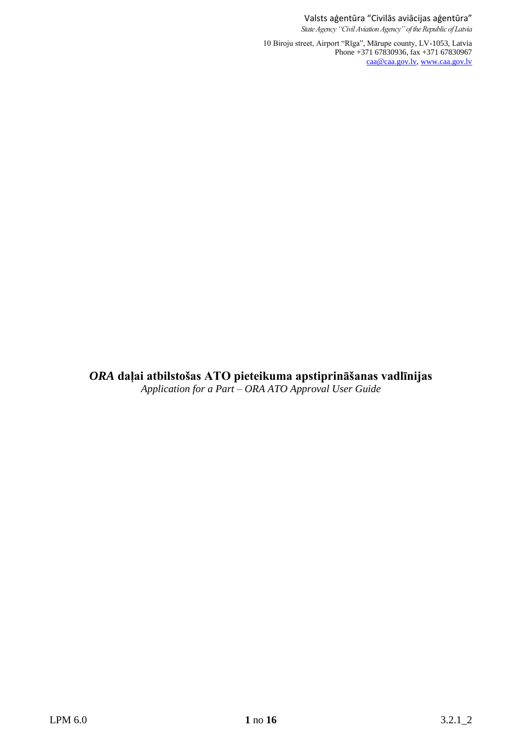Valsts aģentūra "Civilās aviācijas aģentūra" *State Agency "Civil Aviation Agency" of the Republic of Latvia*

10 Biroju street, Airport "Rīga", Mārupe county, LV-1053, Latvia Phone +371 67830936, fax +371 67830967 [caa@caa.gov.lv,](mailto:caa@caa.gov.lv) [www.caa.gov.lv](http://www.caa.gov.lv/)

*ORA* **daļai atbilstošas ATO pieteikuma apstiprināšanas vadlīnijas** *Application for a Part – ORA ATO Approval User Guide*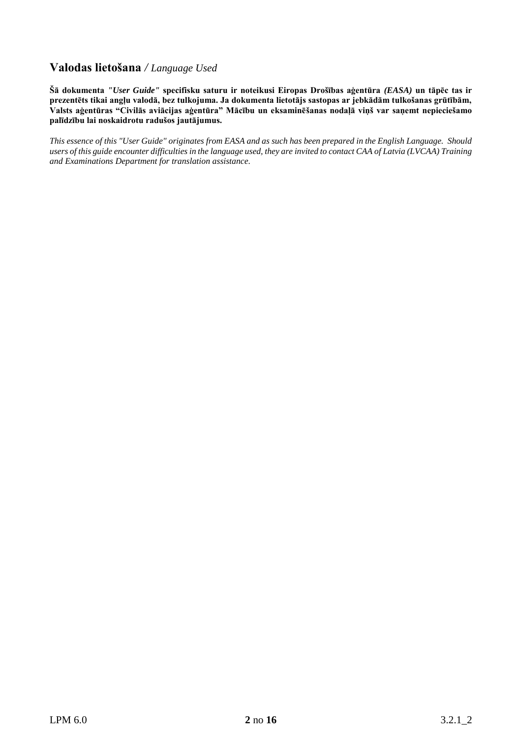## **Valodas lietošana** */ Language Used*

**Šā dokumenta** *"User Guide"* **specifisku saturu ir noteikusi Eiropas Drošības aģentūra** *(EASA)* **un tāpēc tas ir prezentēts tikai angļu valodā, bez tulkojuma. Ja dokumenta lietotājs sastopas ar jebkādām tulkošanas grūtībām, Valsts aģentūras "Civilās aviācijas aģentūra" Mācību un eksaminēšanas nodaļā viņš var saņemt nepieciešamo palīdzību lai noskaidrotu radušos jautājumus.**

*This essence of this "User Guide" originates from EASA and as such has been prepared in the English Language. Should users of this guide encounter difficulties in the language used, they are invited to contact CAA of Latvia (LVCAA) Training and Examinations Department for translation assistance.*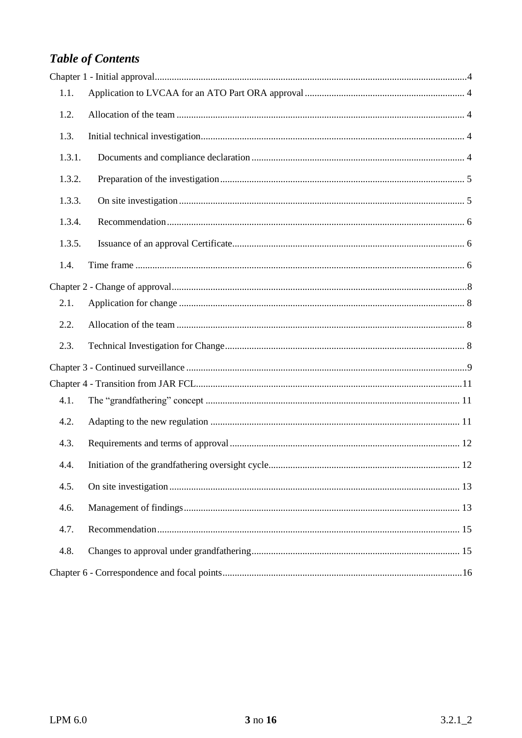## **Table of Contents**

| 1.1.   |  |
|--------|--|
| 1.2.   |  |
| 1.3.   |  |
| 1.3.1. |  |
| 1.3.2. |  |
| 1.3.3. |  |
| 1.3.4. |  |
| 1.3.5. |  |
| 1.4.   |  |
|        |  |
| 2.1.   |  |
| 2.2.   |  |
| 2.3.   |  |
|        |  |
|        |  |
| 4.1.   |  |
| 4.2.   |  |
| 4.3.   |  |
| 4.4.   |  |
| 4.5.   |  |
| 4.6.   |  |
| 4.7.   |  |
| 4.8.   |  |
|        |  |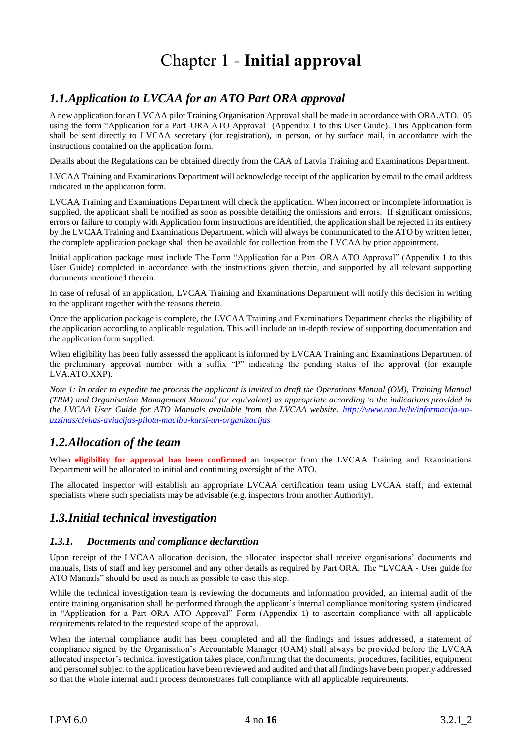# Chapter 1 - **Initial approval**

## <span id="page-3-1"></span><span id="page-3-0"></span>*1.1.Application to LVCAA for an ATO Part ORA approval*

A new application for an LVCAA pilot Training Organisation Approval shall be made in accordance with ORA.ATO.105 using the form "Application for a Part–ORA ATO Approval" (Appendix 1 to this User Guide). This Application form shall be sent directly to LVCAA secretary (for registration), in person, or by surface mail, in accordance with the instructions contained on the application form.

Details about the Regulations can be obtained directly from the CAA of Latvia Training and Examinations Department.

LVCAA Training and Examinations Department will acknowledge receipt of the application by email to the email address indicated in the application form.

LVCAA Training and Examinations Department will check the application. When incorrect or incomplete information is supplied, the applicant shall be notified as soon as possible detailing the omissions and errors. If significant omissions, errors or failure to comply with Application form instructions are identified, the application shall be rejected in its entirety by the LVCAA Training and Examinations Department, which will always be communicated to the ATO by written letter, the complete application package shall then be available for collection from the LVCAA by prior appointment.

Initial application package must include The Form "Application for a Part–ORA ATO Approval" (Appendix 1 to this User Guide) completed in accordance with the instructions given therein, and supported by all relevant supporting documents mentioned therein.

In case of refusal of an application, LVCAA Training and Examinations Department will notify this decision in writing to the applicant together with the reasons thereto.

Once the application package is complete, the LVCAA Training and Examinations Department checks the eligibility of the application according to applicable regulation. This will include an in-depth review of supporting documentation and the application form supplied.

When eligibility has been fully assessed the applicant is informed by LVCAA Training and Examinations Department of the preliminary approval number with a suffix "P" indicating the pending status of the approval (for example LVA.ATO.XXP).

*Note 1: In order to expedite the process the applicant is invited to draft the Operations Manual (OM), Training Manual (TRM) and Organisation Management Manual (or equivalent) as appropriate according to the indications provided in the LVCAA User Guide for ATO Manuals available from the LVCAA website: [http://www.caa.lv/lv/informacija-un](http://www.caa.lv/lv/informacija-un-uzzinas/civilas-aviacijas-pilotu-macibu-kursi-un-organizacijas)[uzzinas/civilas-aviacijas-pilotu-macibu-kursi-un-organizacijas](http://www.caa.lv/lv/informacija-un-uzzinas/civilas-aviacijas-pilotu-macibu-kursi-un-organizacijas)*

### <span id="page-3-2"></span>*1.2.Allocation of the team*

When **eligibility for approval has been confirmed** an inspector from the LVCAA Training and Examinations Department will be allocated to initial and continuing oversight of the ATO.

The allocated inspector will establish an appropriate LVCAA certification team using LVCAA staff, and external specialists where such specialists may be advisable (e.g. inspectors from another Authority).

## <span id="page-3-3"></span>*1.3.Initial technical investigation*

#### <span id="page-3-4"></span>*1.3.1. Documents and compliance declaration*

Upon receipt of the LVCAA allocation decision, the allocated inspector shall receive organisations' documents and manuals, lists of staff and key personnel and any other details as required by Part ORA. The "LVCAA - User guide for ATO Manuals" should be used as much as possible to ease this step.

While the technical investigation team is reviewing the documents and information provided, an internal audit of the entire training organisation shall be performed through the applicant's internal compliance monitoring system (indicated in "Application for a Part–ORA ATO Approval" Form (Appendix 1) to ascertain compliance with all applicable requirements related to the requested scope of the approval.

When the internal compliance audit has been completed and all the findings and issues addressed, a statement of compliance signed by the Organisation's Accountable Manager (OAM) shall always be provided before the LVCAA allocated inspector's technical investigation takes place, confirming that the documents, procedures, facilities, equipment and personnel subject to the application have been reviewed and audited and that all findings have been properly addressed so that the whole internal audit process demonstrates full compliance with all applicable requirements.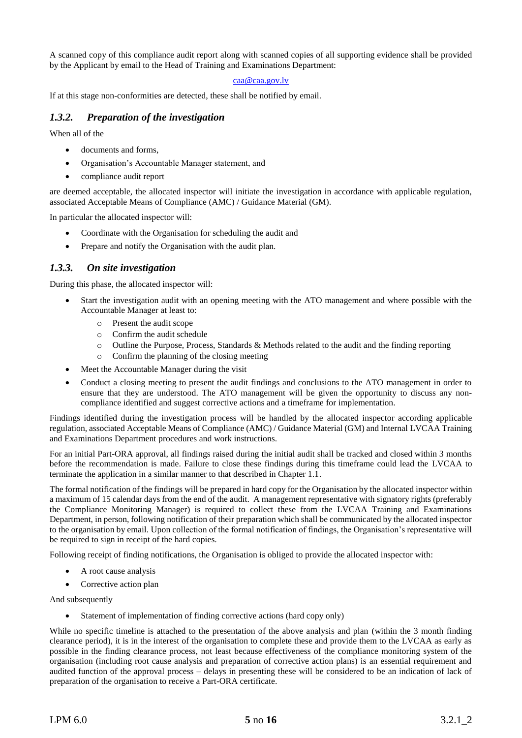A scanned copy of this compliance audit report along with scanned copies of all supporting evidence shall be provided by the Applicant by email to the Head of Training and Examinations Department:

#### [caa@caa.gov.lv](mailto:caa@caa.gov.lv)

If at this stage non-conformities are detected, these shall be notified by email.

#### <span id="page-4-0"></span>*1.3.2. Preparation of the investigation*

When all of the

- documents and forms.
- Organisation's Accountable Manager statement, and
- compliance audit report

are deemed acceptable, the allocated inspector will initiate the investigation in accordance with applicable regulation, associated Acceptable Means of Compliance (AMC) / Guidance Material (GM).

In particular the allocated inspector will:

- Coordinate with the Organisation for scheduling the audit and
- Prepare and notify the Organisation with the audit plan.

#### <span id="page-4-1"></span>*1.3.3. On site investigation*

During this phase, the allocated inspector will:

- Start the investigation audit with an opening meeting with the ATO management and where possible with the Accountable Manager at least to:
	- o Present the audit scope
	- o Confirm the audit schedule
	- o Outline the Purpose, Process, Standards & Methods related to the audit and the finding reporting
	- o Confirm the planning of the closing meeting
- Meet the Accountable Manager during the visit
- Conduct a closing meeting to present the audit findings and conclusions to the ATO management in order to ensure that they are understood. The ATO management will be given the opportunity to discuss any noncompliance identified and suggest corrective actions and a timeframe for implementation.

Findings identified during the investigation process will be handled by the allocated inspector according applicable regulation, associated Acceptable Means of Compliance (AMC) / Guidance Material (GM) and Internal LVCAA Training and Examinations Department procedures and work instructions.

For an initial Part-ORA approval, all findings raised during the initial audit shall be tracked and closed within 3 months before the recommendation is made. Failure to close these findings during this timeframe could lead the LVCAA to terminate the application in a similar manner to that described in Chapter 1.1.

The formal notification of the findings will be prepared in hard copy for the Organisation by the allocated inspector within a maximum of 15 calendar days from the end of the audit. A management representative with signatory rights (preferably the Compliance Monitoring Manager) is required to collect these from the LVCAA Training and Examinations Department, in person, following notification of their preparation which shall be communicated by the allocated inspector to the organisation by email. Upon collection of the formal notification of findings, the Organisation's representative will be required to sign in receipt of the hard copies.

Following receipt of finding notifications, the Organisation is obliged to provide the allocated inspector with:

- A root cause analysis
- Corrective action plan

And subsequently

• Statement of implementation of finding corrective actions (hard copy only)

While no specific timeline is attached to the presentation of the above analysis and plan (within the 3 month finding clearance period), it is in the interest of the organisation to complete these and provide them to the LVCAA as early as possible in the finding clearance process, not least because effectiveness of the compliance monitoring system of the organisation (including root cause analysis and preparation of corrective action plans) is an essential requirement and audited function of the approval process – delays in presenting these will be considered to be an indication of lack of preparation of the organisation to receive a Part-ORA certificate.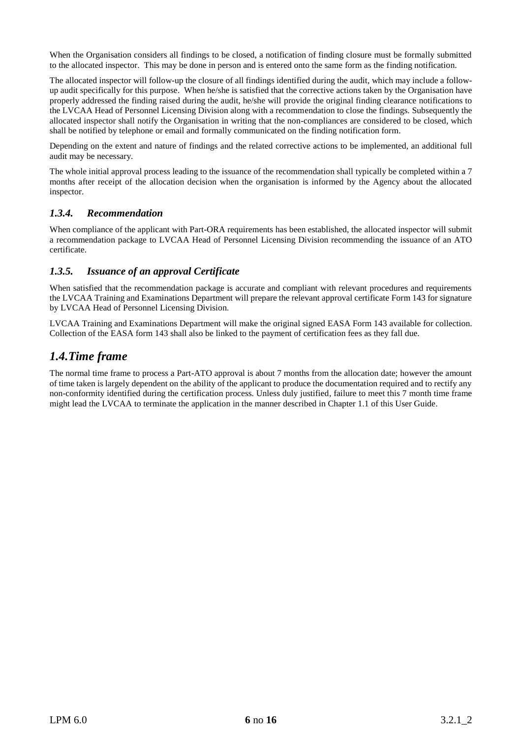When the Organisation considers all findings to be closed, a notification of finding closure must be formally submitted to the allocated inspector. This may be done in person and is entered onto the same form as the finding notification.

The allocated inspector will follow-up the closure of all findings identified during the audit, which may include a followup audit specifically for this purpose. When he/she is satisfied that the corrective actions taken by the Organisation have properly addressed the finding raised during the audit, he/she will provide the original finding clearance notifications to the LVCAA Head of Personnel Licensing Division along with a recommendation to close the findings. Subsequently the allocated inspector shall notify the Organisation in writing that the non-compliances are considered to be closed, which shall be notified by telephone or email and formally communicated on the finding notification form.

Depending on the extent and nature of findings and the related corrective actions to be implemented, an additional full audit may be necessary.

The whole initial approval process leading to the issuance of the recommendation shall typically be completed within a 7 months after receipt of the allocation decision when the organisation is informed by the Agency about the allocated inspector.

#### <span id="page-5-0"></span>*1.3.4. Recommendation*

When compliance of the applicant with Part-ORA requirements has been established, the allocated inspector will submit a recommendation package to LVCAA Head of Personnel Licensing Division recommending the issuance of an ATO certificate.

#### <span id="page-5-1"></span>*1.3.5. Issuance of an approval Certificate*

When satisfied that the recommendation package is accurate and compliant with relevant procedures and requirements the LVCAA Training and Examinations Department will prepare the relevant approval certificate Form 143 for signature by LVCAA Head of Personnel Licensing Division.

LVCAA Training and Examinations Department will make the original signed EASA Form 143 available for collection. Collection of the EASA form 143 shall also be linked to the payment of certification fees as they fall due.

## <span id="page-5-2"></span>*1.4.Time frame*

The normal time frame to process a Part-ATO approval is about 7 months from the allocation date; however the amount of time taken is largely dependent on the ability of the applicant to produce the documentation required and to rectify any non-conformity identified during the certification process. Unless duly justified, failure to meet this 7 month time frame might lead the LVCAA to terminate the application in the manner described in Chapter 1.1 of this User Guide.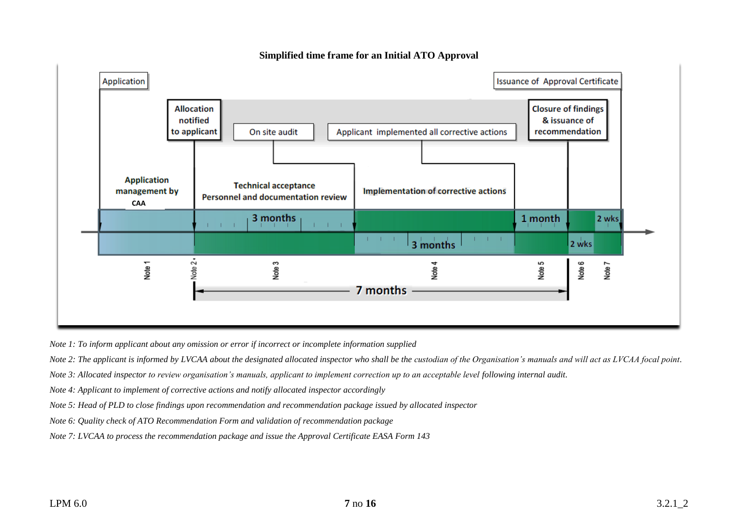

**Simplified time frame for an Initial ATO Approval**

*Note 1: To inform applicant about any omission or error if incorrect or incomplete information supplied* 

*Note 2: The applicant is informed by LVCAA about the designated allocated inspector who shall be the custodian of the Organisation's manuals and will act as LVCAA focal point.* 

*Note 3: Allocated inspector to review organisation's manuals, applicant to implement correction up to an acceptable level following internal audit.* 

*Note 4: Applicant to implement of corrective actions and notify allocated inspector accordingly* 

*Note 5: Head of PLD to close findings upon recommendation and recommendation package issued by allocated inspector*

*Note 6: Quality check of ATO Recommendation Form and validation of recommendation package* 

*Note 7: LVCAA to process the recommendation package and issue the Approval Certificate EASA Form 143*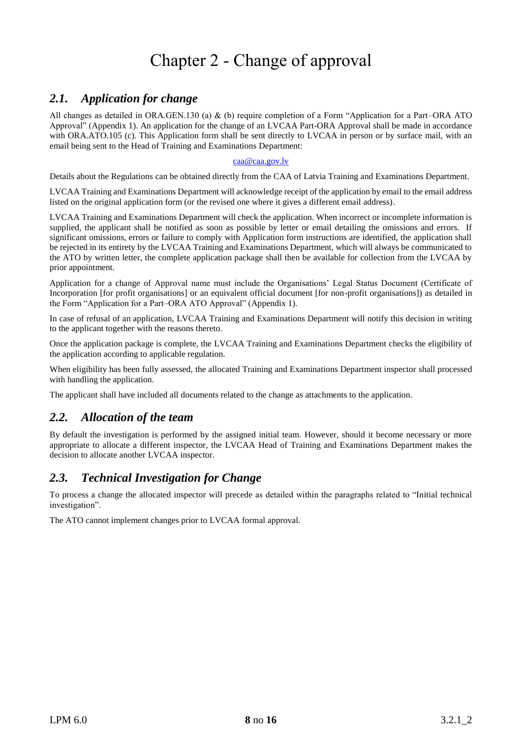# Chapter 2 - Change of approval

## <span id="page-7-1"></span><span id="page-7-0"></span>*2.1. Application for change*

All changes as detailed in ORA.GEN.130 (a) & (b) require completion of a Form "Application for a Part–ORA ATO Approval" (Appendix 1). An application for the change of an LVCAA Part-ORA Approval shall be made in accordance with ORA.ATO.105 (c). This Application form shall be sent directly to LVCAA in person or by surface mail, with an email being sent to the Head of Training and Examinations Department:

#### [caa@caa.gov.lv](mailto:caa@caa.gov.lv)

Details about the Regulations can be obtained directly from the CAA of Latvia Training and Examinations Department.

LVCAA Training and Examinations Department will acknowledge receipt of the application by email to the email address listed on the original application form (or the revised one where it gives a different email address).

LVCAA Training and Examinations Department will check the application. When incorrect or incomplete information is supplied, the applicant shall be notified as soon as possible by letter or email detailing the omissions and errors. If significant omissions, errors or failure to comply with Application form instructions are identified, the application shall be rejected in its entirety by the LVCAA Training and Examinations Department, which will always be communicated to the ATO by written letter, the complete application package shall then be available for collection from the LVCAA by prior appointment.

Application for a change of Approval name must include the Organisations' Legal Status Document (Certificate of Incorporation [for profit organisations] or an equivalent official document [for non-profit organisations]) as detailed in the Form "Application for a Part–ORA ATO Approval" (Appendix 1).

In case of refusal of an application, LVCAA Training and Examinations Department will notify this decision in writing to the applicant together with the reasons thereto.

Once the application package is complete, the LVCAA Training and Examinations Department checks the eligibility of the application according to applicable regulation.

When eligibility has been fully assessed, the allocated Training and Examinations Department inspector shall processed with handling the application.

The applicant shall have included all documents related to the change as attachments to the application.

## <span id="page-7-2"></span>*2.2. Allocation of the team*

By default the investigation is performed by the assigned initial team. However, should it become necessary or more appropriate to allocate a different inspector, the LVCAA Head of Training and Examinations Department makes the decision to allocate another LVCAA inspector.

## <span id="page-7-3"></span>*2.3. Technical Investigation for Change*

To process a change the allocated inspector will precede as detailed within the paragraphs related to "Initial technical investigation".

The ATO cannot implement changes prior to LVCAA formal approval.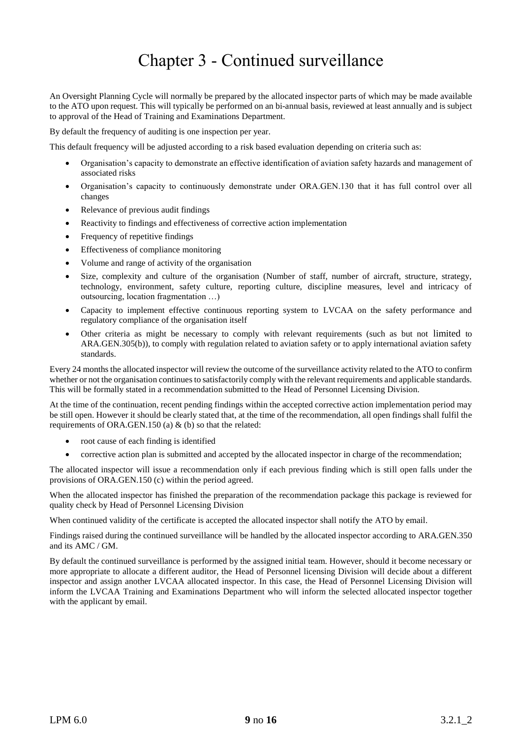## Chapter 3 - Continued surveillance

<span id="page-8-0"></span>An Oversight Planning Cycle will normally be prepared by the allocated inspector parts of which may be made available to the ATO upon request. This will typically be performed on an bi-annual basis, reviewed at least annually and is subject to approval of the Head of Training and Examinations Department.

By default the frequency of auditing is one inspection per year.

This default frequency will be adjusted according to a risk based evaluation depending on criteria such as:

- Organisation's capacity to demonstrate an effective identification of aviation safety hazards and management of associated risks
- Organisation's capacity to continuously demonstrate under ORA.GEN.130 that it has full control over all changes
- Relevance of previous audit findings
- Reactivity to findings and effectiveness of corrective action implementation
- Frequency of repetitive findings
- Effectiveness of compliance monitoring
- Volume and range of activity of the organisation
- Size, complexity and culture of the organisation (Number of staff, number of aircraft, structure, strategy, technology, environment, safety culture, reporting culture, discipline measures, level and intricacy of outsourcing, location fragmentation …)
- Capacity to implement effective continuous reporting system to LVCAA on the safety performance and regulatory compliance of the organisation itself
- Other criteria as might be necessary to comply with relevant requirements (such as but not limited to ARA.GEN.305(b)), to comply with regulation related to aviation safety or to apply international aviation safety standards.

Every 24 months the allocated inspector will review the outcome of the surveillance activity related to the ATO to confirm whether or not the organisation continues to satisfactorily comply with the relevant requirements and applicable standards. This will be formally stated in a recommendation submitted to the Head of Personnel Licensing Division.

At the time of the continuation, recent pending findings within the accepted corrective action implementation period may be still open. However it should be clearly stated that, at the time of the recommendation, all open findings shall fulfil the requirements of ORA.GEN.150 (a) & (b) so that the related:

- root cause of each finding is identified
- corrective action plan is submitted and accepted by the allocated inspector in charge of the recommendation;

The allocated inspector will issue a recommendation only if each previous finding which is still open falls under the provisions of ORA.GEN.150 (c) within the period agreed.

When the allocated inspector has finished the preparation of the recommendation package this package is reviewed for quality check by Head of Personnel Licensing Division

When continued validity of the certificate is accepted the allocated inspector shall notify the ATO by email.

Findings raised during the continued surveillance will be handled by the allocated inspector according to ARA.GEN.350 and its AMC / GM.

By default the continued surveillance is performed by the assigned initial team. However, should it become necessary or more appropriate to allocate a different auditor, the Head of Personnel licensing Division will decide about a different inspector and assign another LVCAA allocated inspector. In this case, the Head of Personnel Licensing Division will inform the LVCAA Training and Examinations Department who will inform the selected allocated inspector together with the applicant by email.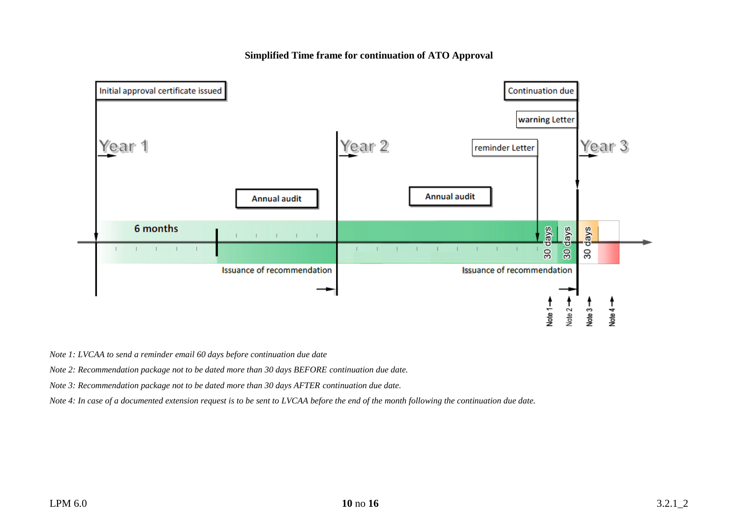**Simplified Time frame for continuation of ATO Approval**



*Note 1: LVCAA to send a reminder email 60 days before continuation due date* 

*Note 2: Recommendation package not to be dated more than 30 days BEFORE continuation due date.*

*Note 3: Recommendation package not to be dated more than 30 days AFTER continuation due date.*

*Note 4: In case of a documented extension request is to be sent to LVCAA before the end of the month following the continuation due date.*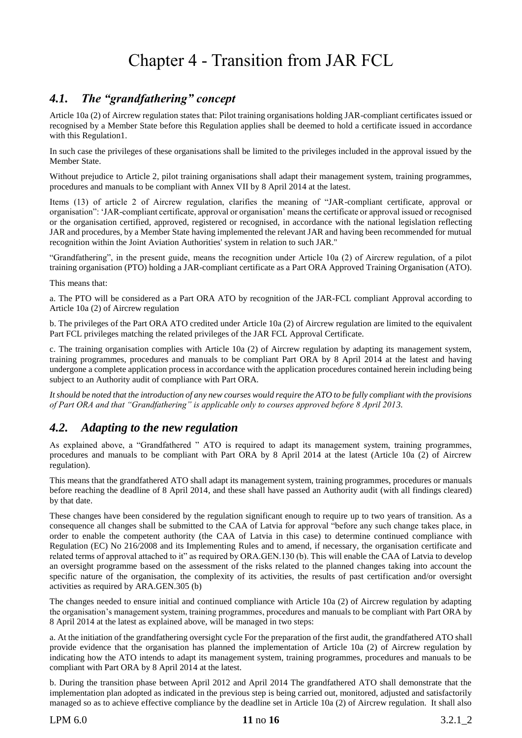## Chapter 4 - Transition from JAR FCL

## <span id="page-10-1"></span><span id="page-10-0"></span>*4.1. The "grandfathering" concept*

Article 10a (2) of Aircrew regulation states that: Pilot training organisations holding JAR-compliant certificates issued or recognised by a Member State before this Regulation applies shall be deemed to hold a certificate issued in accordance with this Regulation1.

In such case the privileges of these organisations shall be limited to the privileges included in the approval issued by the Member State.

Without prejudice to Article 2, pilot training organisations shall adapt their management system, training programmes, procedures and manuals to be compliant with Annex VII by 8 April 2014 at the latest.

Items (13) of article 2 of Aircrew regulation, clarifies the meaning of "JAR-compliant certificate, approval or organisation": 'JAR-compliant certificate, approval or organisation' means the certificate or approval issued or recognised or the organisation certified, approved, registered or recognised, in accordance with the national legislation reflecting JAR and procedures, by a Member State having implemented the relevant JAR and having been recommended for mutual recognition within the Joint Aviation Authorities' system in relation to such JAR."

"Grandfathering", in the present guide, means the recognition under Article 10a (2) of Aircrew regulation, of a pilot training organisation (PTO) holding a JAR-compliant certificate as a Part ORA Approved Training Organisation (ATO).

This means that:

a. The PTO will be considered as a Part ORA ATO by recognition of the JAR-FCL compliant Approval according to Article 10a (2) of Aircrew regulation

b. The privileges of the Part ORA ATO credited under Article 10a (2) of Aircrew regulation are limited to the equivalent Part FCL privileges matching the related privileges of the JAR FCL Approval Certificate.

c. The training organisation complies with Article 10a (2) of Aircrew regulation by adapting its management system, training programmes, procedures and manuals to be compliant Part ORA by 8 April 2014 at the latest and having undergone a complete application process in accordance with the application procedures contained herein including being subject to an Authority audit of compliance with Part ORA.

*It should be noted that the introduction of any new courses would require the ATO to be fully compliant with the provisions of Part ORA and that "Grandfathering" is applicable only to courses approved before 8 April 2013.*

## <span id="page-10-2"></span>*4.2. Adapting to the new regulation*

As explained above, a "Grandfathered " ATO is required to adapt its management system, training programmes, procedures and manuals to be compliant with Part ORA by 8 April 2014 at the latest (Article 10a (2) of Aircrew regulation).

This means that the grandfathered ATO shall adapt its management system, training programmes, procedures or manuals before reaching the deadline of 8 April 2014, and these shall have passed an Authority audit (with all findings cleared) by that date.

These changes have been considered by the regulation significant enough to require up to two years of transition. As a consequence all changes shall be submitted to the CAA of Latvia for approval "before any such change takes place, in order to enable the competent authority (the CAA of Latvia in this case) to determine continued compliance with Regulation (EC) No 216/2008 and its Implementing Rules and to amend, if necessary, the organisation certificate and related terms of approval attached to it" as required by ORA.GEN.130 (b). This will enable the CAA of Latvia to develop an oversight programme based on the assessment of the risks related to the planned changes taking into account the specific nature of the organisation, the complexity of its activities, the results of past certification and/or oversight activities as required by ARA.GEN.305 (b)

The changes needed to ensure initial and continued compliance with Article 10a (2) of Aircrew regulation by adapting the organisation's management system, training programmes, procedures and manuals to be compliant with Part ORA by 8 April 2014 at the latest as explained above, will be managed in two steps:

a. At the initiation of the grandfathering oversight cycle For the preparation of the first audit, the grandfathered ATO shall provide evidence that the organisation has planned the implementation of Article 10a (2) of Aircrew regulation by indicating how the ATO intends to adapt its management system, training programmes, procedures and manuals to be compliant with Part ORA by 8 April 2014 at the latest.

b. During the transition phase between April 2012 and April 2014 The grandfathered ATO shall demonstrate that the implementation plan adopted as indicated in the previous step is being carried out, monitored, adjusted and satisfactorily managed so as to achieve effective compliance by the deadline set in Article 10a (2) of Aircrew regulation. It shall also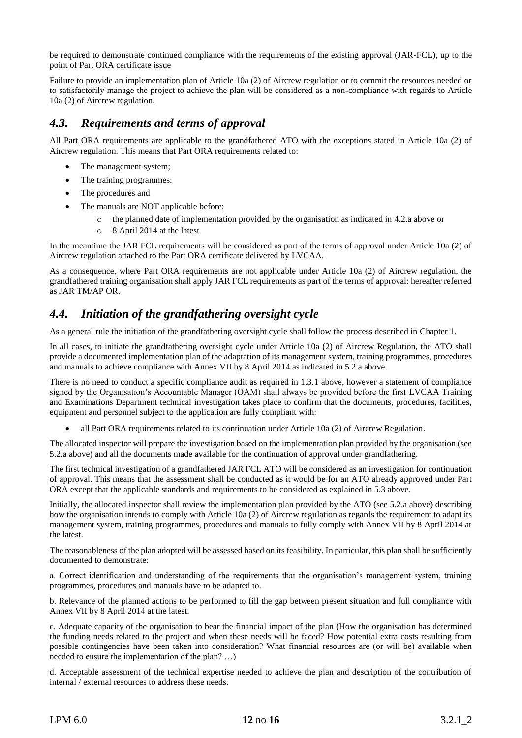be required to demonstrate continued compliance with the requirements of the existing approval (JAR-FCL), up to the point of Part ORA certificate issue

Failure to provide an implementation plan of Article 10a (2) of Aircrew regulation or to commit the resources needed or to satisfactorily manage the project to achieve the plan will be considered as a non-compliance with regards to Article 10a (2) of Aircrew regulation.

### <span id="page-11-0"></span>*4.3. Requirements and terms of approval*

All Part ORA requirements are applicable to the grandfathered ATO with the exceptions stated in Article 10a (2) of Aircrew regulation. This means that Part ORA requirements related to:

- The management system;
- The training programmes;
- The procedures and
- The manuals are NOT applicable before:
	- $\circ$  the planned date of implementation provided by the organisation as indicated in 4.2.a above or
	- o 8 April 2014 at the latest

In the meantime the JAR FCL requirements will be considered as part of the terms of approval under Article 10a (2) of Aircrew regulation attached to the Part ORA certificate delivered by LVCAA.

As a consequence, where Part ORA requirements are not applicable under Article 10a (2) of Aircrew regulation, the grandfathered training organisation shall apply JAR FCL requirements as part of the terms of approval: hereafter referred as JAR TM/AP OR.

## <span id="page-11-1"></span>*4.4. Initiation of the grandfathering oversight cycle*

As a general rule the initiation of the grandfathering oversight cycle shall follow the process described in Chapter 1.

In all cases, to initiate the grandfathering oversight cycle under Article 10a (2) of Aircrew Regulation, the ATO shall provide a documented implementation plan of the adaptation of its management system, training programmes, procedures and manuals to achieve compliance with Annex VII by 8 April 2014 as indicated in 5.2.a above.

There is no need to conduct a specific compliance audit as required in 1.3.1 above, however a statement of compliance signed by the Organisation's Accountable Manager (OAM) shall always be provided before the first LVCAA Training and Examinations Department technical investigation takes place to confirm that the documents, procedures, facilities, equipment and personnel subject to the application are fully compliant with:

• all Part ORA requirements related to its continuation under Article 10a (2) of Aircrew Regulation.

The allocated inspector will prepare the investigation based on the implementation plan provided by the organisation (see 5.2.a above) and all the documents made available for the continuation of approval under grandfathering.

The first technical investigation of a grandfathered JAR FCL ATO will be considered as an investigation for continuation of approval. This means that the assessment shall be conducted as it would be for an ATO already approved under Part ORA except that the applicable standards and requirements to be considered as explained in 5.3 above.

Initially, the allocated inspector shall review the implementation plan provided by the ATO (see 5.2.a above) describing how the organisation intends to comply with Article 10a (2) of Aircrew regulation as regards the requirement to adapt its management system, training programmes, procedures and manuals to fully comply with Annex VII by 8 April 2014 at the latest.

The reasonableness of the plan adopted will be assessed based on its feasibility. In particular, this plan shall be sufficiently documented to demonstrate:

a. Correct identification and understanding of the requirements that the organisation's management system, training programmes, procedures and manuals have to be adapted to.

b. Relevance of the planned actions to be performed to fill the gap between present situation and full compliance with Annex VII by 8 April 2014 at the latest.

c. Adequate capacity of the organisation to bear the financial impact of the plan (How the organisation has determined the funding needs related to the project and when these needs will be faced? How potential extra costs resulting from possible contingencies have been taken into consideration? What financial resources are (or will be) available when needed to ensure the implementation of the plan? …)

d. Acceptable assessment of the technical expertise needed to achieve the plan and description of the contribution of internal / external resources to address these needs.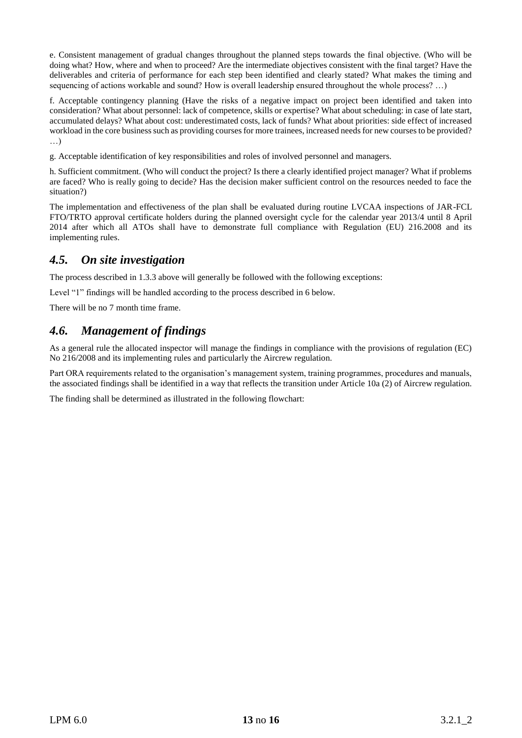e. Consistent management of gradual changes throughout the planned steps towards the final objective. (Who will be doing what? How, where and when to proceed? Are the intermediate objectives consistent with the final target? Have the deliverables and criteria of performance for each step been identified and clearly stated? What makes the timing and sequencing of actions workable and sound? How is overall leadership ensured throughout the whole process? …)

f. Acceptable contingency planning (Have the risks of a negative impact on project been identified and taken into consideration? What about personnel: lack of competence, skills or expertise? What about scheduling: in case of late start, accumulated delays? What about cost: underestimated costs, lack of funds? What about priorities: side effect of increased workload in the core business such as providing courses for more trainees, increased needs for new courses to be provided? …)

g. Acceptable identification of key responsibilities and roles of involved personnel and managers.

h. Sufficient commitment. (Who will conduct the project? Is there a clearly identified project manager? What if problems are faced? Who is really going to decide? Has the decision maker sufficient control on the resources needed to face the situation?)

The implementation and effectiveness of the plan shall be evaluated during routine LVCAA inspections of JAR-FCL FTO/TRTO approval certificate holders during the planned oversight cycle for the calendar year 2013/4 until 8 April 2014 after which all ATOs shall have to demonstrate full compliance with Regulation (EU) 216.2008 and its implementing rules.

## <span id="page-12-0"></span>*4.5. On site investigation*

The process described in 1.3.3 above will generally be followed with the following exceptions:

Level "1" findings will be handled according to the process described in 6 below.

There will be no 7 month time frame.

## <span id="page-12-1"></span>*4.6. Management of findings*

As a general rule the allocated inspector will manage the findings in compliance with the provisions of regulation (EC) No 216/2008 and its implementing rules and particularly the Aircrew regulation.

Part ORA requirements related to the organisation's management system, training programmes, procedures and manuals, the associated findings shall be identified in a way that reflects the transition under Article 10a (2) of Aircrew regulation.

The finding shall be determined as illustrated in the following flowchart: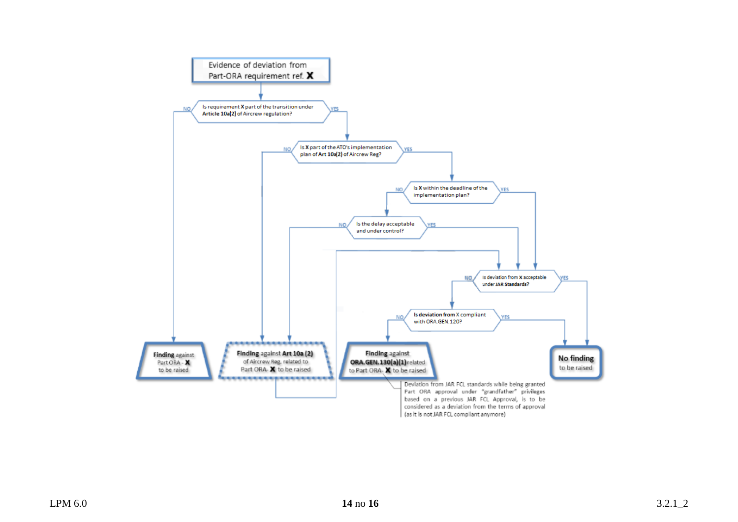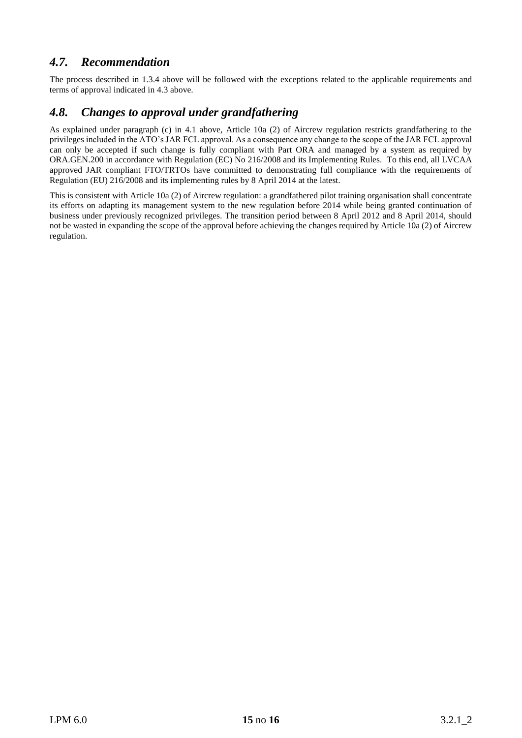## <span id="page-14-0"></span>*4.7. Recommendation*

The process described in 1.3.4 above will be followed with the exceptions related to the applicable requirements and terms of approval indicated in 4.3 above.

## <span id="page-14-1"></span>*4.8. Changes to approval under grandfathering*

As explained under paragraph (c) in 4.1 above, Article 10a (2) of Aircrew regulation restricts grandfathering to the privileges included in the ATO's JAR FCL approval. As a consequence any change to the scope of the JAR FCL approval can only be accepted if such change is fully compliant with Part ORA and managed by a system as required by ORA.GEN.200 in accordance with Regulation (EC) No 216/2008 and its Implementing Rules. To this end, all LVCAA approved JAR compliant FTO/TRTOs have committed to demonstrating full compliance with the requirements of Regulation (EU) 216/2008 and its implementing rules by 8 April 2014 at the latest.

This is consistent with Article 10a (2) of Aircrew regulation: a grandfathered pilot training organisation shall concentrate its efforts on adapting its management system to the new regulation before 2014 while being granted continuation of business under previously recognized privileges. The transition period between 8 April 2012 and 8 April 2014, should not be wasted in expanding the scope of the approval before achieving the changes required by Article 10a (2) of Aircrew regulation.